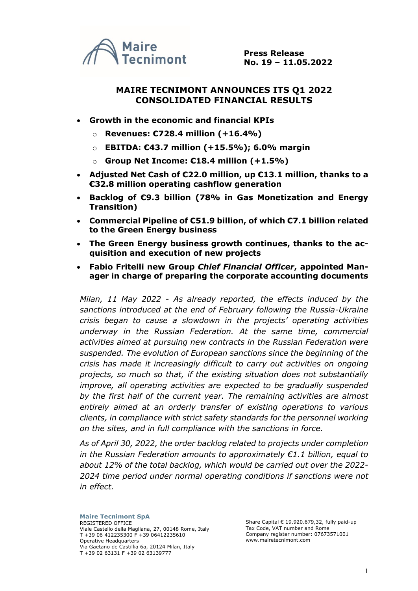

**Press Release No. 19 – 11.05.2022**

## **MAIRE TECNIMONT ANNOUNCES ITS Q1 2022 CONSOLIDATED FINANCIAL RESULTS**

- **Growth in the economic and financial KPIs**
	- o **Revenues: €728.4 million (+16.4%)**
	- o **EBITDA: €43.7 million (+15.5%); 6.0% margin**
	- o **Group Net Income: €18.4 million (+1.5%)**
- **Adjusted Net Cash of €22.0 million, up €13.1 million, thanks to a €32.8 million operating cashflow generation**
- **Backlog of €9.3 billion (78% in Gas Monetization and Energy Transition)**
- **Commercial Pipeline of €51.9 billion, of which €7.1 billion related to the Green Energy business**
- **The Green Energy business growth continues, thanks to the acquisition and execution of new projects**
- **Fabio Fritelli new Group** *Chief Financial Officer***, appointed Manager in charge of preparing the corporate accounting documents**

*Milan, 11 May 2022 - As already reported, the effects induced by the sanctions introduced at the end of February following the Russia-Ukraine crisis began to cause a slowdown in the projects' operating activities underway in the Russian Federation. At the same time, commercial activities aimed at pursuing new contracts in the Russian Federation were suspended. The evolution of European sanctions since the beginning of the crisis has made it increasingly difficult to carry out activities on ongoing projects, so much so that, if the existing situation does not substantially improve, all operating activities are expected to be gradually suspended by the first half of the current year. The remaining activities are almost entirely aimed at an orderly transfer of existing operations to various clients, in compliance with strict safety standards for the personnel working on the sites, and in full compliance with the sanctions in force.* 

*As of April 30, 2022, the order backlog related to projects under completion in the Russian Federation amounts to approximately €1.1 billion, equal to about 12% of the total backlog, which would be carried out over the 2022- 2024 time period under normal operating conditions if sanctions were not in effect.* 

Share Capital € 19.920.679,32, fully paid-up Tax Code, VAT number and Rome Company register number: 07673571001 www.mairetecnimont.com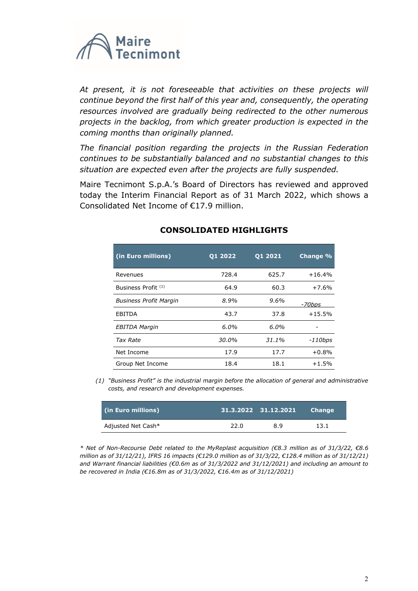

At present, it is not foreseeable that activities on these projects will *continue beyond the first half of this year and, consequently, the operating resources involved are gradually being redirected to the other numerous projects in the backlog, from which greater production is expected in the coming months than originally planned.*

*The financial position regarding the projects in the Russian Federation continues to be substantially balanced and no substantial changes to this situation are expected even after the projects are fully suspended.*

Maire Tecnimont S.p.A.'s Board of Directors has reviewed and approved today the Interim Financial Report as of 31 March 2022, which shows a Consolidated Net Income of €17.9 million.

| (in Euro millions)             | <b>01 2022</b> | Q1 2021 | Change %  |
|--------------------------------|----------------|---------|-----------|
| Revenues                       | 728.4          | 625.7   | $+16.4%$  |
| Business Profit <sup>(1)</sup> | 64.9           | 60.3    | $+7.6%$   |
| <b>Business Profit Margin</b>  | 8.9%           | 9.6%    | -70bps    |
| EBITDA                         | 43.7           | 37.8    | $+15.5%$  |
| EBITDA Margin                  | 6.0%           | 6.0%    |           |
| <b>Tax Rate</b>                | 30.0%          | 31.1%   | $-110bps$ |
| Net Income                     | 17.9           | 17.7    | $+0.8%$   |
| Group Net Income               | 18.4           | 18.1    | $+1.5%$   |

## **CONSOLIDATED HIGHLIGHTS**

*(1) "Business Profit" is the industrial margin before the allocation of general and administrative costs, and research and development expenses.*

| (in Euro millions) |      | 31.3.2022 31.12.2021 | <b>Change</b> |
|--------------------|------|----------------------|---------------|
| Adjusted Net Cash* | 22.0 | 89                   | 13.1          |

*\* Net of Non-Recourse Debt related to the MyReplast acquisition (€8.3 million as of 31/3/22, €8.6 million as of 31/12/21), IFRS 16 impacts (€129.0 million as of 31/3/22, €128.4 million as of 31/12/21) and Warrant financial liabilities (€0.6m as of 31/3/2022 and 31/12/2021) and including an amount to be recovered in India (€16.8m as of 31/3/2022, €16.4m as of 31/12/2021)*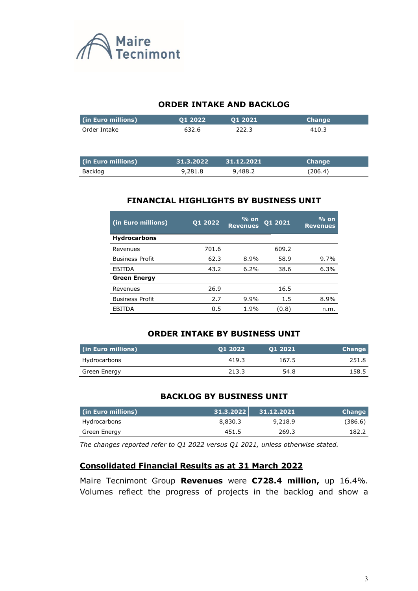

## **ORDER INTAKE AND BACKLOG**

| (in Euro millions) | 01 2022 | 01 2021 | <b>Change</b> |
|--------------------|---------|---------|---------------|
| Order Intake       | 632.6   | 222.3   | 410.3         |
|                    |         |         |               |
|                    |         |         |               |

| (in Euro millions) | 31.3.2022 | $\sqrt{31.12.2021}$ | <b>Change</b> |
|--------------------|-----------|---------------------|---------------|
| Backlog            | 9,281.8   | 9,488.2             | (206.4)       |

# **FINANCIAL HIGHLIGHTS BY BUSINESS UNIT**

| (in Euro millions)     | 01 2022 | $%$ on<br><b>Revenues</b> | 01 2021 | $\frac{9}{6}$ on<br><b>Revenues</b> |
|------------------------|---------|---------------------------|---------|-------------------------------------|
| <b>Hydrocarbons</b>    |         |                           |         |                                     |
| Revenues               | 701.6   |                           | 609.2   |                                     |
| <b>Business Profit</b> | 62.3    | 8.9%                      | 58.9    | 9.7%                                |
| <b>EBITDA</b>          | 43.2    | 6.2%                      | 38.6    | 6.3%                                |
| <b>Green Energy</b>    |         |                           |         |                                     |
| Revenues               | 26.9    |                           | 16.5    |                                     |
| <b>Business Profit</b> | 2.7     | 9.9%                      | 1.5     | 8.9%                                |
| EBITDA                 | 0.5     | 1.9%                      | (0.8)   | n.m.                                |

## **ORDER INTAKE BY BUSINESS UNIT**

| (in Euro millions) | 01 2022 | 01 2021 | <b>Change</b> |
|--------------------|---------|---------|---------------|
| Hydrocarbons       | 419.3   | 167.5   | 251.8         |
| Green Energy       | 213.3   | 54.8    | 158.5         |

## **BACKLOG BY BUSINESS UNIT**

| (in Euro millions) | . 31.3.2022 | 31.12.2021 | <b>Change</b> |
|--------------------|-------------|------------|---------------|
| Hydrocarbons       | 8,830.3     | 9,218.9    | (386.6)       |
| Green Energy       | 451.5       | 269.3      | 182.2         |

*The changes reported refer to Q1 2022 versus Q1 2021, unless otherwise stated.*

## **Consolidated Financial Results as at 31 March 2022**

Maire Tecnimont Group **Revenues** were **€728.4 million,** up 16.4%. Volumes reflect the progress of projects in the backlog and show a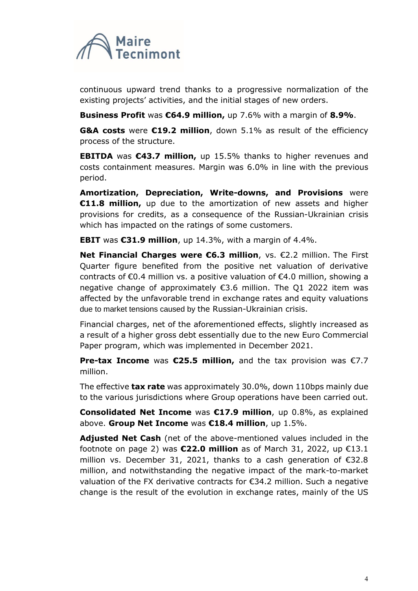

continuous upward trend thanks to a progressive normalization of the existing projects' activities, and the initial stages of new orders.

**Business Profit** was **€64.9 million,** up 7.6% with a margin of **8.9%**.

**G&A costs** were **€19.2 million**, down 5.1% as result of the efficiency process of the structure.

**EBITDA** was **€43.7 million,** up 15.5% thanks to higher revenues and costs containment measures. Margin was 6.0% in line with the previous period.

**Amortization, Depreciation, Write-downs, and Provisions** were **€11.8 million,** up due to the amortization of new assets and higher provisions for credits, as a consequence of the Russian-Ukrainian crisis which has impacted on the ratings of some customers.

**EBIT** was **€31.9 million**, up 14.3%, with a margin of 4.4%.

**Net Financial Charges were €6.3 million**, vs. €2.2 million. The First Quarter figure benefited from the positive net valuation of derivative contracts of  $\epsilon$ 0.4 million vs. a positive valuation of  $\epsilon$ 4.0 million, showing a negative change of approximately €3.6 million. The Q1 2022 item was affected by the unfavorable trend in exchange rates and equity valuations due to market tensions caused by the Russian-Ukrainian crisis.

Financial charges, net of the aforementioned effects, slightly increased as a result of a higher gross debt essentially due to the new Euro Commercial Paper program, which was implemented in December 2021.

**Pre-tax Income** was **€25.5 million,** and the tax provision was €7.7 million.

The effective **tax rate** was approximately 30.0%, down 110bps mainly due to the various jurisdictions where Group operations have been carried out.

**Consolidated Net Income** was **€17.9 million**, up 0.8%, as explained above. **Group Net Income** was **€18.4 million**, up 1.5%.

**Adjusted Net Cash** (net of the above-mentioned values included in the footnote on page 2) was **€22.0 million** as of March 31, 2022, up €13.1 million vs. December 31, 2021, thanks to a cash generation of €32.8 million, and notwithstanding the negative impact of the mark-to-market valuation of the FX derivative contracts for €34.2 million. Such a negative change is the result of the evolution in exchange rates, mainly of the US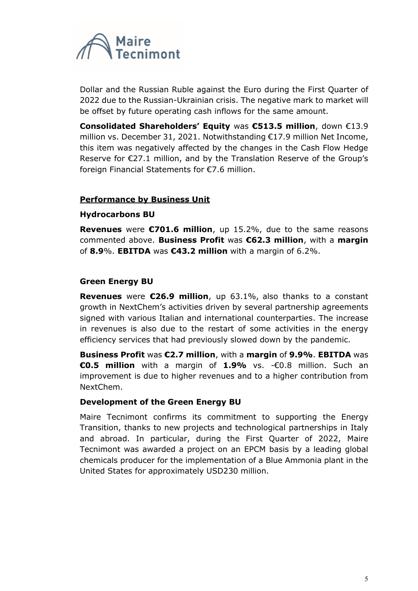

Dollar and the Russian Ruble against the Euro during the First Quarter of 2022 due to the Russian-Ukrainian crisis. The negative mark to market will be offset by future operating cash inflows for the same amount.

**Consolidated Shareholders' Equity** was **€513.5 million**, down €13.9 million vs. December 31, 2021. Notwithstanding €17.9 million Net Income, this item was negatively affected by the changes in the Cash Flow Hedge Reserve for €27.1 million, and by the Translation Reserve of the Group's foreign Financial Statements for €7.6 million.

## **Performance by Business Unit**

## **Hydrocarbons BU**

**Revenues** were **€701.6 million**, up 15.2%, due to the same reasons commented above. **Business Profit** was **€62.3 million**, with a **margin**  of **8.9**%. **EBITDA** was **€43.2 million** with a margin of 6.2%.

## **Green Energy BU**

**Revenues** were **€26.9 million**, up 63.1%, also thanks to a constant growth in NextChem's activities driven by several partnership agreements signed with various Italian and international counterparties. The increase in revenues is also due to the restart of some activities in the energy efficiency services that had previously slowed down by the pandemic.

**Business Profit** was **€2.7 million**, with a **margin** of **9.9%**. **EBITDA** was **€0.5 million** with a margin of **1.9%** vs. -€0.8 million. Such an improvement is due to higher revenues and to a higher contribution from NextChem.

#### **Development of the Green Energy BU**

Maire Tecnimont confirms its commitment to supporting the Energy Transition, thanks to new projects and technological partnerships in Italy and abroad. In particular, during the First Quarter of 2022, Maire Tecnimont was awarded a project on an EPCM basis by a leading global chemicals producer for the implementation of a Blue Ammonia plant in the United States for approximately USD230 million.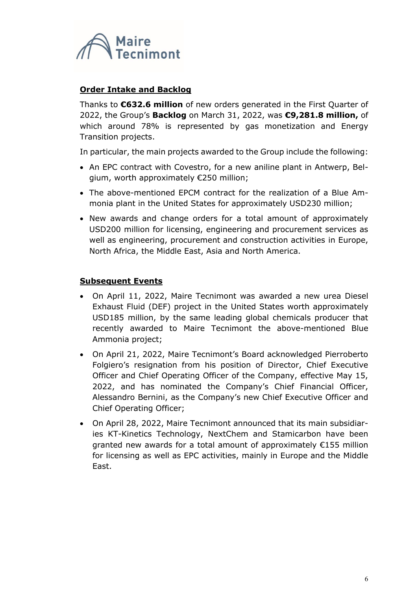

## **Order Intake and Backlog**

Thanks to **€632.6 million** of new orders generated in the First Quarter of 2022, the Group's **Backlog** on March 31, 2022, was **€9,281.8 million,** of which around 78% is represented by gas monetization and Energy Transition projects.

In particular, the main projects awarded to the Group include the following:

- An EPC contract with Covestro, for a new aniline plant in Antwerp, Belgium, worth approximately €250 million;
- The above-mentioned EPCM contract for the realization of a Blue Ammonia plant in the United States for approximately USD230 million;
- New awards and change orders for a total amount of approximately USD200 million for licensing, engineering and procurement services as well as engineering, procurement and construction activities in Europe, North Africa, the Middle East, Asia and North America.

## **Subsequent Events**

- On April 11, 2022, Maire Tecnimont was awarded a new urea Diesel Exhaust Fluid (DEF) project in the United States worth approximately USD185 million, by the same leading global chemicals producer that recently awarded to Maire Tecnimont the above-mentioned Blue Ammonia project;
- On April 21, 2022, Maire Tecnimont's Board acknowledged Pierroberto Folgiero's resignation from his position of Director, Chief Executive Officer and Chief Operating Officer of the Company, effective May 15, 2022, and has nominated the Company's Chief Financial Officer, Alessandro Bernini, as the Company's new Chief Executive Officer and Chief Operating Officer;
- On April 28, 2022, Maire Tecnimont announced that its main subsidiaries KT-Kinetics Technology, NextChem and Stamicarbon have been granted new awards for a total amount of approximately €155 million for licensing as well as EPC activities, mainly in Europe and the Middle East.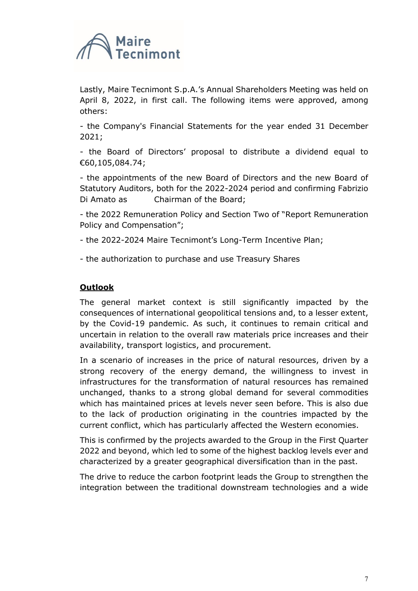

Lastly, Maire Tecnimont S.p.A.'s Annual Shareholders Meeting was held on April 8, 2022, in first call. The following items were approved, among others:

- the Company's Financial Statements for the year ended 31 December 2021;

- the Board of Directors' proposal to distribute a dividend equal to €60,105,084.74;

- the appointments of the new Board of Directors and the new Board of Statutory Auditors, both for the 2022-2024 period and confirming Fabrizio Di Amato as Chairman of the Board;

- the 2022 Remuneration Policy and Section Two of "Report Remuneration Policy and Compensation";

- the 2022-2024 Maire Tecnimont's Long-Term Incentive Plan;

- the authorization to purchase and use Treasury Shares

## **Outlook**

The general market context is still significantly impacted by the consequences of international geopolitical tensions and, to a lesser extent, by the Covid-19 pandemic. As such, it continues to remain critical and uncertain in relation to the overall raw materials price increases and their availability, transport logistics, and procurement.

In a scenario of increases in the price of natural resources, driven by a strong recovery of the energy demand, the willingness to invest in infrastructures for the transformation of natural resources has remained unchanged, thanks to a strong global demand for several commodities which has maintained prices at levels never seen before. This is also due to the lack of production originating in the countries impacted by the current conflict, which has particularly affected the Western economies.

This is confirmed by the projects awarded to the Group in the First Quarter 2022 and beyond, which led to some of the highest backlog levels ever and characterized by a greater geographical diversification than in the past.

The drive to reduce the carbon footprint leads the Group to strengthen the integration between the traditional downstream technologies and a wide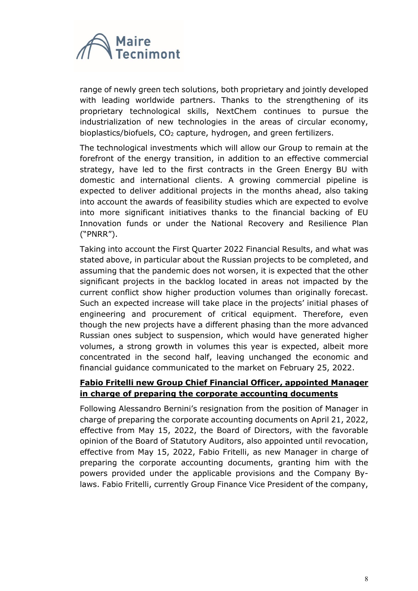

range of newly green tech solutions, both proprietary and jointly developed with leading worldwide partners. Thanks to the strengthening of its proprietary technological skills, NextChem continues to pursue the industrialization of new technologies in the areas of circular economy, bioplastics/biofuels,  $CO<sub>2</sub>$  capture, hydrogen, and green fertilizers.

The technological investments which will allow our Group to remain at the forefront of the energy transition, in addition to an effective commercial strategy, have led to the first contracts in the Green Energy BU with domestic and international clients. A growing commercial pipeline is expected to deliver additional projects in the months ahead, also taking into account the awards of feasibility studies which are expected to evolve into more significant initiatives thanks to the financial backing of EU Innovation funds or under the National Recovery and Resilience Plan ("PNRR").

Taking into account the First Quarter 2022 Financial Results, and what was stated above, in particular about the Russian projects to be completed, and assuming that the pandemic does not worsen, it is expected that the other significant projects in the backlog located in areas not impacted by the current conflict show higher production volumes than originally forecast. Such an expected increase will take place in the projects' initial phases of engineering and procurement of critical equipment. Therefore, even though the new projects have a different phasing than the more advanced Russian ones subject to suspension, which would have generated higher volumes, a strong growth in volumes this year is expected, albeit more concentrated in the second half, leaving unchanged the economic and financial guidance communicated to the market on February 25, 2022.

## **Fabio Fritelli new Group Chief Financial Officer, appointed Manager in charge of preparing the corporate accounting documents**

Following Alessandro Bernini's resignation from the position of Manager in charge of preparing the corporate accounting documents on April 21, 2022, effective from May 15, 2022, the Board of Directors, with the favorable opinion of the Board of Statutory Auditors, also appointed until revocation, effective from May 15, 2022, Fabio Fritelli, as new Manager in charge of preparing the corporate accounting documents, granting him with the powers provided under the applicable provisions and the Company Bylaws. Fabio Fritelli, currently Group Finance Vice President of the company,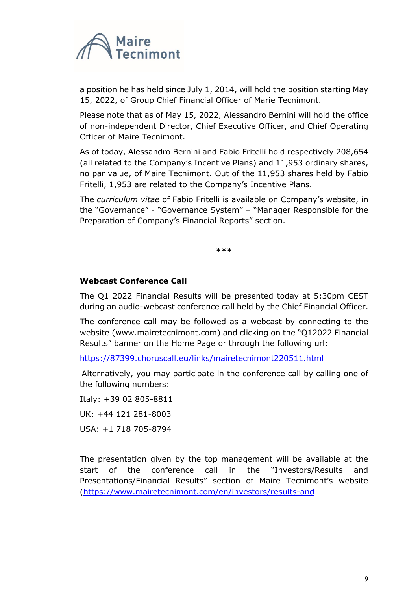

a position he has held since July 1, 2014, will hold the position starting May 15, 2022, of Group Chief Financial Officer of Marie Tecnimont.

Please note that as of May 15, 2022, Alessandro Bernini will hold the office of non-independent Director, Chief Executive Officer, and Chief Operating Officer of Maire Tecnimont.

As of today, Alessandro Bernini and Fabio Fritelli hold respectively 208,654 (all related to the Company's Incentive Plans) and 11,953 ordinary shares, no par value, of Maire Tecnimont. Out of the 11,953 shares held by Fabio Fritelli, 1,953 are related to the Company's Incentive Plans.

The *curriculum vitae* of Fabio Fritelli is available on Company's website, in the "Governance" - "Governance System" – "Manager Responsible for the Preparation of Company's Financial Reports" section.

**\*\*\***

## **Webcast Conference Call**

The Q1 2022 Financial Results will be presented today at 5:30pm CEST during an audio-webcast conference call held by the Chief Financial Officer.

The conference call may be followed as a webcast by connecting to the website [\(www.mairetecnimont.com](http://www.mairetecnimont.com/)) and clicking on the "Q12022 Financial Results" banner on the Home Page or through the following url:

[https://87399.choruscall.eu/links/mairetecnimont220511.html](https://eur02.safelinks.protection.outlook.com/?url=https%3A%2F%2F87399.choruscall.eu%2Flinks%2Fmairetecnimont220511.html&data=04%7C01%7CInes.DiTerlizzi%40mairetecnimont.it%7C9f3d9df38eed427ea2ab08da1bd159b2%7C7cc918885aa049e5a83622cda2eae0fc%7C0%7C0%7C637852883228037460%7CUnknown%7CTWFpbGZsb3d8eyJWIjoiMC4wLjAwMDAiLCJQIjoiV2luMzIiLCJBTiI6Ik1haWwiLCJXVCI6Mn0%3D%7C3000&sdata=ZthjlJywKTAke3m5GpeAAuBYzXq%2Bl%2BYifeGqvEGtcPw%3D&reserved=0)

Alternatively, you may participate in the conference call by calling one of the following numbers:

Italy: +39 02 805-8811

UK: +44 121 281-8003

USA: +1 718 705-8794

The presentation given by the top management will be available at the start of the conference call in the "Investors/Results and Presentations/Financial Results" section of Maire Tecnimont's website [\(https://www.mairetecnimont.com/en/investors/results-and](https://www.mairetecnimont.com/en/investors/results-and%20presentations/financial-results)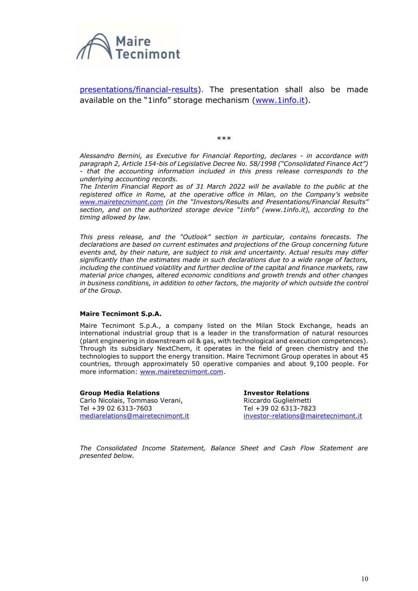

[presentations/financial-results\)](https://www.mairetecnimont.com/en/investors/results-and%20presentations/financial-results). The presentation shall also be made available on the "1info" storage mechanism [\(www.1info.it\)](http://www.1info.it/).

\*\*\*

*Alessandro Bernini, as Executive for Financial Reporting, declares - in accordance with paragraph 2, Article 154-bis of Legislative Decree No. 58/1998 ("Consolidated Finance Act") - that the accounting information included in this press release corresponds to the underlying accounting records.*

*The Interim Financial Report as of 31 March 2022 will be available to the public at the registered office in Rome, at the operative office in Milan, on the Company's website www.mairetecnimont.com (in the "Investors/Results and Presentations/Financial Results" section, and on the authorized storage device "1info" ([www.1info.it\)](http://www.1info.it/), according to the timing allowed by law.*

*This press release, and the "Outlook" section in particular, contains forecasts. The declarations are based on current estimates and projections of the Group concerning future events and, by their nature, are subject to risk and uncertainty. Actual results may differ significantly than the estimates made in such declarations due to a wide range of factors, including the continued volatility and further decline of the capital and finance markets, raw material price changes, altered economic conditions and growth trends and other changes*  in business conditions, in addition to other factors, the majority of which outside the control *of the Group.*

#### **Maire Tecnimont S.p.A.**

Maire Tecnimont S.p.A., a company listed on the Milan Stock Exchange, heads an international industrial group that is a leader in the transformation of natural resources (plant engineering in downstream oil & gas, with technological and execution competences). Through its subsidiary NextChem, it operates in the field of green chemistry and the technologies to support the energy transition. Maire Tecnimont Group operates in about 45 countries, through approximately 50 operative companies and about 9,100 people. For more information: [www.mairetecnimont.com.](http://www.mairetecnimont.com/)

**Group Media Relations** Carlo Nicolais, Tommaso Verani, Tel +39 02 6313-7603 [mediarelations@mairetecnimont.it](mailto:mediarelations@mairetecnimont.it)

**Investor Relations** Riccardo Guglielmetti Tel +39 02 6313-7823 [investor-relations@mairetecnimont.it](mailto:investor-relations@mairetecnimont.it)

*The Consolidated Income Statement, Balance Sheet and Cash Flow Statement are presented below.*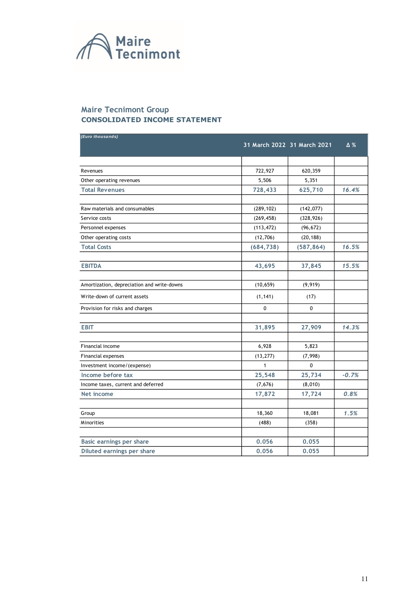

#### **Maire Tecnimont Group CONSOLIDATED INCOME STATEMENT**

| (Euro thousands)                           | 31 March 2022 31 March 2021 |            | $\Delta\%$ |
|--------------------------------------------|-----------------------------|------------|------------|
|                                            |                             |            |            |
| Revenues                                   | 722,927                     | 620,359    |            |
| Other operating revenues                   | 5,506                       | 5,351      |            |
| <b>Total Revenues</b>                      | 728,433                     | 625,710    | 16.4%      |
|                                            |                             |            |            |
| Raw materials and consumables              | (289, 102)                  | (142, 077) |            |
| Service costs                              | (269, 458)                  | (328, 926) |            |
| Personnel expenses                         | (113, 472)                  | (96, 672)  |            |
| Other operating costs                      | (12,706)                    | (20, 188)  |            |
| <b>Total Costs</b>                         | (684, 738)                  | (587, 864) | 16.5%      |
| <b>EBITDA</b>                              | 43,695                      | 37,845     | 15.5%      |
|                                            |                             |            |            |
| Amortization, depreciation and write-downs | (10, 659)                   | (9, 919)   |            |
| Write-down of current assets               | (1, 141)                    | (17)       |            |
| Provision for risks and charges            | 0                           | 0          |            |
|                                            |                             |            |            |
| <b>EBIT</b>                                | 31,895                      | 27,909     | 14.3%      |
|                                            |                             |            |            |
| Financial income                           | 6,928                       | 5,823      |            |
| <b>Financial expenses</b>                  | (13, 277)                   | (7,998)    |            |
| Investment income/(expense)                | $\mathbf{1}$                | 0          |            |
| Income before tax                          | 25,548                      | 25,734     | $-0.7%$    |
| Income taxes, current and deferred         | (7, 676)                    | (8,010)    |            |
| Net income                                 | 17,872                      | 17,724     | 0.8%       |
| Group                                      | 18,360                      | 18,081     | 1.5%       |
|                                            |                             |            |            |
| <b>Minorities</b>                          | (488)                       | (358)      |            |
| Basic earnings per share                   | 0.056                       | 0.055      |            |
| Diluted earnings per share                 | 0.056                       | 0.055      |            |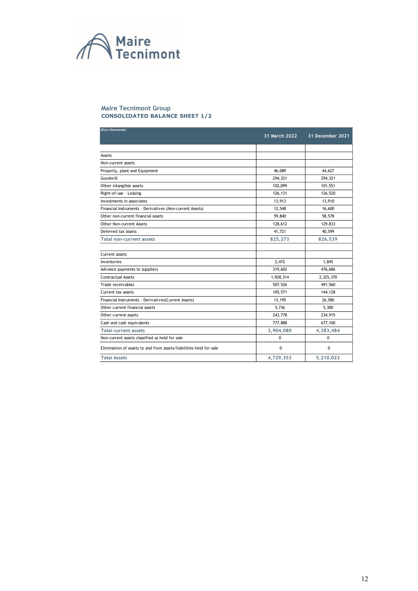

#### **Maire Tecnimont Group CONSOLIDATED BALANCE SHEET 1/2**

| (Euro thousands)                                                   | 31 March 2022 | 31 December 2021 |
|--------------------------------------------------------------------|---------------|------------------|
|                                                                    |               |                  |
| Assets                                                             |               |                  |
| Non-current assets                                                 |               |                  |
| Property, plant and Equipment                                      | 46,089        | 44,627           |
| Goodwill                                                           | 294,321       | 294,321          |
| Other intangible assets                                            | 102,099       | 101,551          |
| Right-of-use - Leasing                                             | 126,131       | 126,520          |
| Investments in associates                                          | 13,913        | 13,910           |
| Financial Instruments - Derivatives (Non-current Assets)           | 12,548        | 16,600           |
| Other non-current financial assets                                 | 59,840        | 58,578           |
| Other Non-current Assets                                           | 128,612       | 129,833          |
| Deferred tax assets                                                | 41,721        | 40,599           |
| <b>Total non-current assets</b>                                    | 825,273       | 826,539          |
|                                                                    |               |                  |
| Current assets                                                     |               |                  |
| Inventories                                                        | 2,472         | 1,845            |
| Advance payments to suppliers                                      | 319,602       | 476,686          |
| <b>Contractual Assets</b>                                          | 1,928,314     | 2,325,370        |
| Trade receivables                                                  | 507,526       | 491,560          |
| Current tax assets                                                 | 105,571       | 144,128          |
| Financial Instruments - Derivatives(Current Assets)                | 13,195        | 26,580           |
| Other current financial assets                                     | 5,736         | 5,300            |
| Other current assets                                               | 243,778       | 234,915          |
| Cash and cash equivalents                                          | 777,888       | 677,100          |
| <b>Total current assets</b>                                        | 3,904,080     | 4,383,484        |
| Non-current assets classified as held for sale                     | 0             | $\Omega$         |
| Elimination of assets to and from assets/liabilities held for sale | $\Omega$      | $\Omega$         |
| <b>Total Assets</b>                                                | 4,729,353     | 5,210,023        |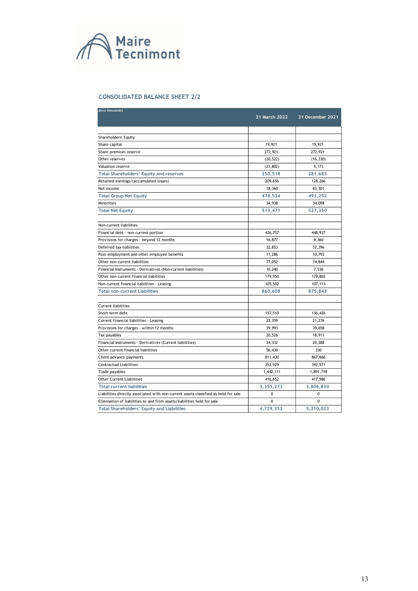

#### **CONSOLIDATED BALANCE SHEET 2/2**

| (Euro thousands)                                                                    |                      |                  |
|-------------------------------------------------------------------------------------|----------------------|------------------|
|                                                                                     | <b>31 March 2022</b> | 31 December 2021 |
|                                                                                     |                      |                  |
| Shareholders' Equity                                                                |                      |                  |
| Share capital                                                                       | 19,921               | 19,921           |
| Share premium reserve                                                               | 272,921              | 272,921          |
| Other reserves                                                                      | (20, 522)            | (16, 330)        |
| Valuation reserve                                                                   | (21, 802)            | 5,173            |
| <b>Total Shareholders' Equity and reserves</b>                                      | 250,518              | 281,685          |
| Retained earnings/(accumulated losses)                                              | 209,656              | 128,266          |
| Net income                                                                          | 18,360               | 83,301           |
| <b>Total Group Net Equity</b>                                                       | 478,534              | 493,252          |
| Minorities                                                                          | 34,938               | 34,098           |
| <b>Total Net Equity</b>                                                             | 513,471              | 527,350          |
|                                                                                     |                      |                  |
| Non-current liabilities                                                             |                      |                  |
| Financial debt - non-current portion                                                | 426,757              | 448,937          |
| Provisions for charges - beyond 12 months                                           | 16,877               | 9,360            |
| Deferred tax liabilities                                                            | 32,853               | 37,396           |
| Post-employment and other employee benefits                                         | 11,286               | 10,792           |
| Other non-current liabilities                                                       | 77,052               | 74,844           |
| Financial Instruments - Derivatives (Non-current liabilities)                       | 10,240               | 7,536            |
| Other non-current financial liabilities                                             | 179,950              | 179,865          |
| Non-current financial liabilities - Leasing                                         | 105,592              | 107,113          |
| <b>Total non-current Liabilities</b>                                                | 860,608              | 875,843          |
|                                                                                     |                      |                  |
| Current liabilities                                                                 |                      |                  |
| Short-term debt                                                                     | 157,510              | 136,426          |
| Current financial liabilities - Leasing                                             | 23,359               | 21,276           |
| Provisions for charges - within 12 months                                           | 39,993               | 39,658           |
| Tax payables                                                                        | 20,526               | 18,911           |
| Financial Instruments - Derivatives (Current liabilities)                           | 34,332               | 20,288           |
| Other current financial liabilities                                                 | 56,430               | 330              |
| Client advance payments                                                             | 811,430              | 867,666          |
| <b>Contractual Liabilities</b>                                                      | 352,929              | 392,571          |
| Trade payables                                                                      | 1,442,111            | 1,891,718        |
| <b>Other Current Liabilities</b>                                                    | 416,652              | 417,986          |
| <b>Total current liabilities</b>                                                    | 3,355,273            | 3,806,830        |
| Liabilities directly associated with non-current assets classified as held for sale | 0                    | 0                |
| Elimination of liabilities to and from assets/liabilities held for sale             | 0                    | 0                |
| <b>Total Shareholders' Equity and Liabilities</b>                                   | 4,729,353            | 5,210,023        |